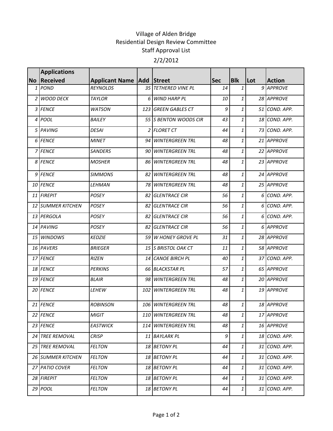## Village of Alden Bridge Residential Design Review Committee Staff Approval List 2/2/2012

| <b>Applications</b>      |                                      |                            |            |                    |     |               |
|--------------------------|--------------------------------------|----------------------------|------------|--------------------|-----|---------------|
| No Received              | <b>Applicant Name   Add   Street</b> |                            | <b>Sec</b> | <b>Bik</b>         | Lot | <b>Action</b> |
| 1 POND                   | <b>REYNOLDS</b>                      | 35 TETHERED VINE PL        | 14         | $\mathbf{1}$       |     | 9 APPROVE     |
| 2 WOOD DECK              | <b>TAYLOR</b>                        | 6 WIND HARP PL             | 10         | $\mathbf{1}$       |     | 28 APPROVE    |
| 3 FENCE                  | <b>WATSON</b>                        | 123 GREEN GABLES CT        | 9          | $\mathbf{1}$       |     | 51 COND. APP. |
| 4 POOL                   | <b>BAILEY</b>                        | 55 S BENTON WOODS CIR      | 43         | $\mathbf{1}$       |     | 18 COND. APP. |
| 5 PAVING                 | <b>DESAI</b>                         | 2 FLORET CT                | 44         | $\mathbf{1}$       |     | 73 COND. APP. |
| 6 FENCE                  | <b>MINET</b>                         | 94 WINTERGREEN TRL         | 48         | $\mathbf{1}$       |     | 21 APPROVE    |
| 7 FENCE                  | <b>SANDERS</b>                       | 90 WINTERGREEN TRL         | 48         | $\mathbf{1}$       |     | 22 APPROVE    |
| 8 FENCE                  | <b>MOSHER</b>                        | 86 WINTERGREEN TRL         | 48         | $\mathbf{1}$       |     | 23 APPROVE    |
| 9 FENCE                  | <b>SIMMONS</b>                       | 82 WINTERGREEN TRL         | 48         | $\mathbf{1}$       |     | 24 APPROVE    |
| 10 FENCE                 | LEHMAN                               | 78 WINTERGREEN TRL         | 48         | $\mathbf{1}$       |     | 25 APPROVE    |
| 11 FIREPIT               | <b>POSEY</b>                         | 82 GLENTRACE CIR           | 56         | $\mathbf{1}$       |     | 6 COND. APP.  |
| <b>12 SUMMER KITCHEN</b> | <b>POSEY</b>                         | 82 GLENTRACE CIR           | 56         | $\mathbf{1}$       |     | 6 COND. APP.  |
| 13 PERGOLA               | <b>POSEY</b>                         | <b>82 GLENTRACE CIR</b>    | 56         | $\mathbf{1}$       |     | 6 COND. APP.  |
| 14 PAVING                | <b>POSEY</b>                         | 82 GLENTRACE CIR           | 56         | $\mathbf{1}$       |     | 6 APPROVE     |
| 15 WINDOWS               | <b>KEDZIE</b>                        | 59 W HONEY GROVE PL        | 31         | $\mathbf{1}$       |     | 28 APPROVE    |
| 16 PAVERS                | <b>BRIEGER</b>                       | 15 S BRISTOL OAK CT        | 11         | $\mathbf{1}$       |     | 58 APPROVE    |
| 17 FENCE                 | <b>RIZEN</b>                         | 14 CANOE BIRCH PL          | 40         | $\mathbf{1}$       |     | 37 COND. APP. |
| 18 FENCE                 | <b>PERKINS</b>                       | <b>66 BLACKSTAR PL</b>     | 57         | $\mathbf{1}$       |     | 65 APPROVE    |
| 19 FENCE                 | <b>BLAIR</b>                         | 98 WINTERGREEN TRL         | 48         | $\mathbf{1}$       |     | 20 APPROVE    |
| 20 FENCE                 | LEHEW                                | 102 WINTERGREEN TRL        | 48         | $\mathbf{1}$       |     | 19 APPROVE    |
| 21 FENCE                 | <b>ROBINSON</b>                      | <b>106 WINTERGREEN TRL</b> | 48         | 1                  |     | 18 APPROVE    |
| 22 FENCE                 | <b>MIGIT</b>                         | 110 WINTERGREEN TRL        | 48         | $\mathbf{1}$       |     | 17 APPROVE    |
| 23 FENCE                 | <b>EASTWICK</b>                      | 114 WINTERGREEN TRL        | 48         | $\mathbf{1}$       |     | 16 APPROVE    |
| 24 TREE REMOVAL          | <b>CRISP</b>                         | 11 BAYLARK PL              | 9          | $\mathbf{1}$       |     | 18 COND. APP. |
| 25 TREE REMOVAL          | <b>FELTON</b>                        | 18 BETONY PL               | 44         | $\mathbf{1}$       |     | 31 COND. APP. |
| <b>26 SUMMER KITCHEN</b> | <b>FELTON</b>                        | 18 BETONY PL               | 44         | 1                  |     | 31 COND. APP. |
| 27 PATIO COVER           | <b>FELTON</b>                        | 18 BETONY PL               | 44         | $\mathbf{1}$       |     | 31 COND. APP. |
| 28 FIREPIT               | <b>FELTON</b>                        | 18 BETONY PL               | 44         | 1                  |     | 31 COND. APP. |
| 29 <i>POOL</i>           | <b>FELTON</b>                        | 18 BETONY PL               | 44         | $\mathbf{1}% _{T}$ |     | 31 COND. APP. |